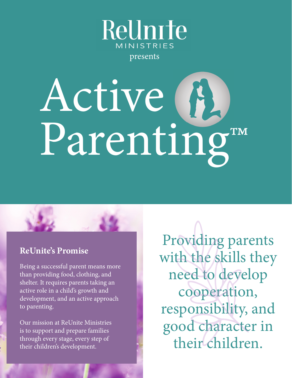

presents

# Active Parenting™

#### **ReUnite's Promise**

Being a successful parent means more than providing food, clothing, and shelter. It requires parents taking an active role in a child's growth and development, and an active approach to parenting.

Our mission at ReUnite Ministries is to support and prepare families through every stage, every step of their children's development.

Providing parents with the skills they need to develop cooperation, responsibility, and good character in their children.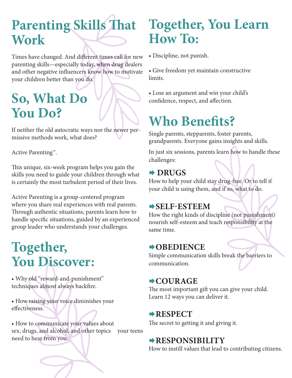## **Parenting Skills That Work**

Times have changed. And different times call for new parenting skills—especially today, when drug dealers and other negative influencers know how to motivate your children better than you do.

## **So, What Do You Do?**

If neither the old autocratic ways nor the newer permissive methods work, what does?

Active Parenting™.

This unique, six-week program helps you gain the skills you need to guide your children through what is certainly the most turbulent period of their lives.

Active Parenting is a group-centered program where you share real experiences with real parents. Through authentic situations, parents learn how to handle specific situations, guided by an experienced group leader who understands your challenges.

## **Together, You Discover:**

• Why old "reward-and-punishment" techniques almost always backfire.

• How raising your voice diminishes your effectiveness.

• How to communicate your values about sex, drugs, and alcohol, and other topics your teens need to hear from you.

## **Together, You Learn How To:**

• Discipline, not punish.

• Give freedom yet maintain constructive limits.

• Lose an argument and win your child's confidence, respect, and affection.

## **Who Benefits?**

Single parents, stepparents, foster parents, grandparents. Everyone gains insights and skills.

In just six sessions, parents learn how to handle these challenges:

#### **→ DRUGS**

How to help your child stay drug-free. Or to tell if your child is using them, and if so, what to do.

#### **SELF-ESTEEM**

How the right kinds of discipline (not punishment) nourish self-esteem and teach responsibility at the same time.

#### **OBEDIENCE**

Simple communication skills break the barriers to communication.

#### **COURAGE**

The most important gift you can give your child. Learn 12 ways you can deliver it.

#### **RESPECT**

The secret to getting it and giving it.

#### **RESPONSIBILITY**

How to instill values that lead to contributing citizens.